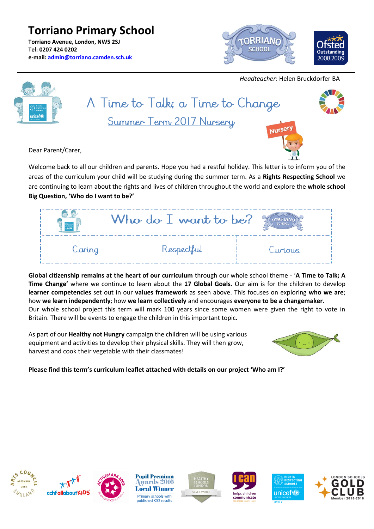**Torriano Primary School Torriano Avenue, London, NW5 2SJ Tel: 0207 424 0202 e-mail: [admin@torriano.camden.sch.uk](mailto:admin@torriano.camden.sch.uk)**



# *Headteacher:* Helen Bruckdorfer BA



# A Time to Talk; a Time to Change Summer Term 2017 Nursery



Dear Parent/Carer,

Welcome back to all our children and parents. Hope you had a restful holiday. This letter is to inform you of the areas of the curriculum your child will be studying during the summer term. As a **Rights Respecting School** we are continuing to learn about the rights and lives of children throughout the world and explore the **whole school Big Question, 'Who do I want to be?'**

| $\frac{1}{1000}$ | Who do $\bar{1}$ want to be? | <b>SCHOOL</b> |
|------------------|------------------------------|---------------|
| Caring           | Respectful                   | Curious       |

**Global citizenship remains at the heart of our curriculum** through our whole school theme - '**A Time to Talk; A Time Change'** where we continue to learn about the **17 Global Goals**. Our aim is for the children to develop **learner competencies** set out in our **values framework** as seen above. This focuses on exploring **who we are**; how **we learn independently**; how **we learn collectively** and encourages **everyone to be a changemaker**. Our whole school project this term will mark 100 years since some women were given the right to vote in Britain. There will be events to engage the children in this important topic.

As part of our **Healthy not Hungry** campaign the children will be using various equipment and activities to develop their physical skills. They will then grow, harvest and cook their vegetable with their classmates!



**Please find this term's curriculum leaflet attached with details on our project 'Who am I?'**







**Pupil Premium** wards 2016 **Local Winner** Primary schools with published KS2 results







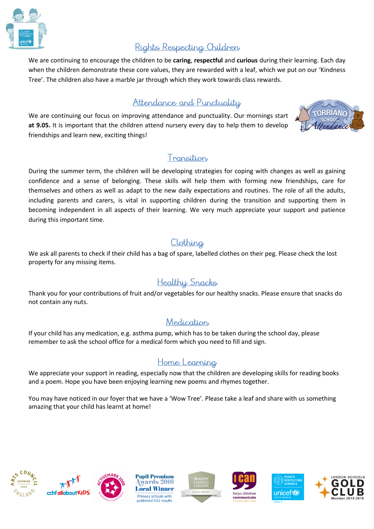

## Rights Respecting Children

We are continuing to encourage the children to be **caring**, **respectful** and **curious** during their learning. Each day when the children demonstrate these core values, they are rewarded with a leaf, which we put on our 'Kindness Tree'. The children also have a marble jar through which they work towards class rewards.

## Attendance and Punctuality

We are continuing our focus on improving attendance and punctuality. Our mornings start **at 9.05.** It is important that the children attend nursery every day to help them to develop friendships and learn new, exciting things!



#### Transition

During the summer term, the children will be developing strategies for coping with changes as well as gaining confidence and a sense of belonging. These skills will help them with forming new friendships, care for themselves and others as well as adapt to the new daily expectations and routines. The role of all the adults, including parents and carers, is vital in supporting children during the transition and supporting them in becoming independent in all aspects of their learning. We very much appreciate your support and patience during this important time.

## Clothing

We ask all parents to check if their child has a bag of spare, labelled clothes on their peg. Please check the lost property for any missing items.

#### **Healthy Snacks**

Thank you for your contributions of fruit and/or vegetables for our healthy snacks. Please ensure that snacks do not contain any nuts.

#### Medication

If your child has any medication, e.g. asthma pump, which has to be taken during the school day, please remember to ask the school office for a medical form which you need to fill and sign.

## Home Learning

We appreciate your support in reading, especially now that the children are developing skills for reading books and a poem. Hope you have been enjoying learning new poems and rhymes together.

You may have noticed in our foyer that we have a 'Wow Tree'. Please take a leaf and share with us something amazing that your child has learnt at home!







**Pupil Premium** wards 2016 **Local Winner** Primary schools with